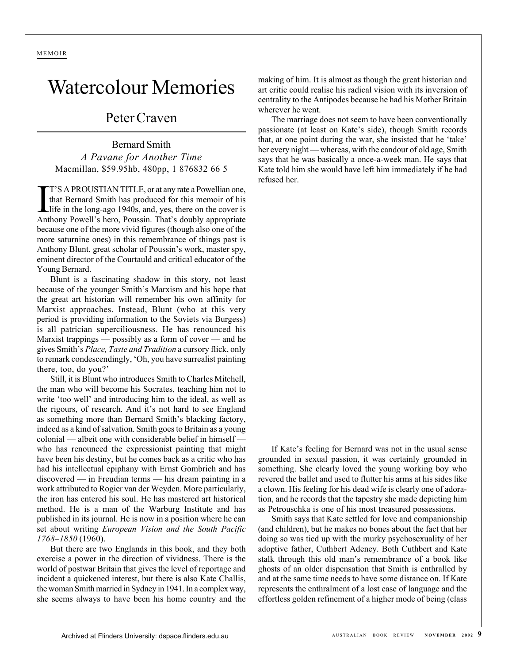## Watercolour Memories

## Peter Craven

Bernard Smith *A Pavane for Another Time* Macmillan, \$59.95hb, 480pp, 1 876832 66 5

T'S A PROUSTIAN TITLE, or at any rate a Powellian one, that Bernard Smith has produced for this memoir of his life in the long-ago 1940s, and, yes, there on the cover is Anthony Powell's hero, Poussin. That's doubly approp T'S A PROUSTIAN TITLE, or at any rate a Powellian one, that Bernard Smith has produced for this memoir of his life in the long-ago 1940s, and, yes, there on the cover is because one of the more vivid figures (though also one of the more saturnine ones) in this remembrance of things past is Anthony Blunt, great scholar of Poussin's work, master spy, eminent director of the Courtauld and critical educator of the Young Bernard.

Blunt is a fascinating shadow in this story, not least because of the younger Smith's Marxism and his hope that the great art historian will remember his own affinity for Marxist approaches. Instead, Blunt (who at this very period is providing information to the Soviets via Burgess) is all patrician superciliousness. He has renounced his Marxist trappings — possibly as a form of cover — and he gives Smith's *Place, Taste and Tradition* a cursory flick, only to remark condescendingly, 'Oh, you have surrealist painting there, too, do you?'

Still, it is Blunt who introduces Smith to Charles Mitchell, the man who will become his Socrates, teaching him not to write 'too well' and introducing him to the ideal, as well as the rigours, of research. And it's not hard to see England as something more than Bernard Smith's blacking factory, indeed as a kind of salvation. Smith goes to Britain as a young colonial — albeit one with considerable belief in himself who has renounced the expressionist painting that might have been his destiny, but he comes back as a critic who has had his intellectual epiphany with Ernst Gombrich and has discovered — in Freudian terms — his dream painting in a work attributed to Rogier van der Weyden. More particularly, the iron has entered his soul. He has mastered art historical method. He is a man of the Warburg Institute and has published in its journal. He is now in a position where he can set about writing *European Vision and the South Pacific 1768–1850* (1960).

But there are two Englands in this book, and they both exercise a power in the direction of vividness. There is the world of postwar Britain that gives the level of reportage and incident a quickened interest, but there is also Kate Challis, the woman Smith married in Sydney in 1941. In a complex way, she seems always to have been his home country and the making of him. It is almost as though the great historian and art critic could realise his radical vision with its inversion of centrality to the Antipodes because he had his Mother Britain wherever he went.

The marriage does not seem to have been conventionally passionate (at least on Kate's side), though Smith records that, at one point during the war, she insisted that he 'take' her every night — whereas, with the candour of old age, Smith says that he was basically a once-a-week man. He says that Kate told him she would have left him immediately if he had refused her.

If Kate's feeling for Bernard was not in the usual sense grounded in sexual passion, it was certainly grounded in something. She clearly loved the young working boy who revered the ballet and used to flutter his arms at his sides like a clown. His feeling for his dead wife is clearly one of adoration, and he records that the tapestry she made depicting him as Petrouschka is one of his most treasured possessions.

Smith says that Kate settled for love and companionship (and children), but he makes no bones about the fact that her doing so was tied up with the murky psychosexuality of her adoptive father, Cuthbert Adeney. Both Cuthbert and Kate stalk through this old man's remembrance of a book like ghosts of an older dispensation that Smith is enthralled by and at the same time needs to have some distance on. If Kate represents the enthralment of a lost ease of language and the effortless golden refinement of a higher mode of being (class